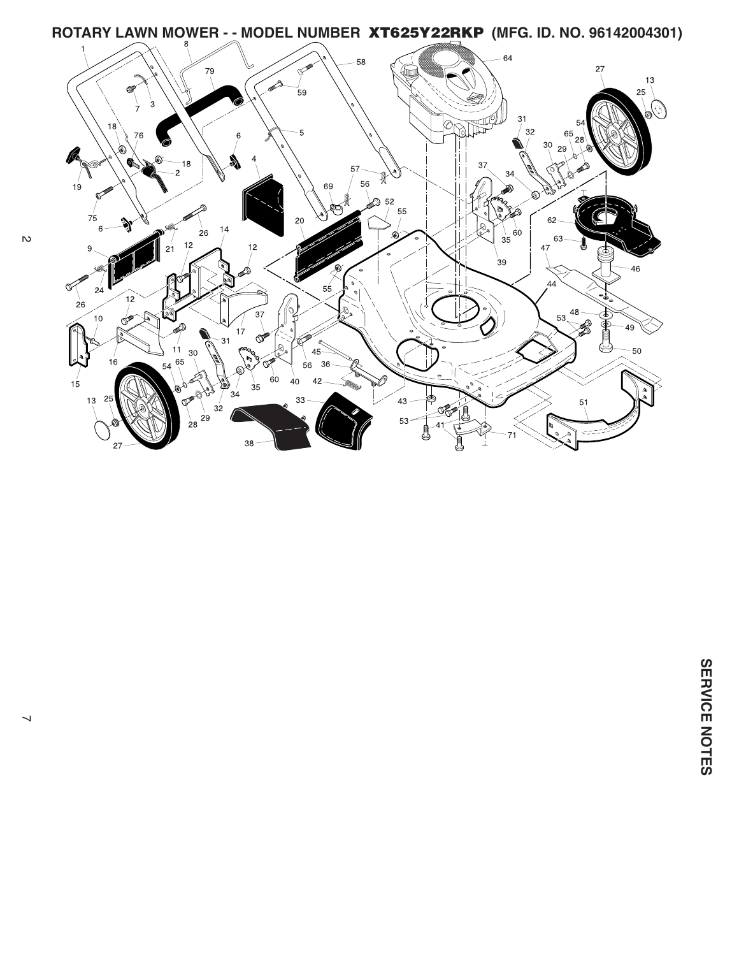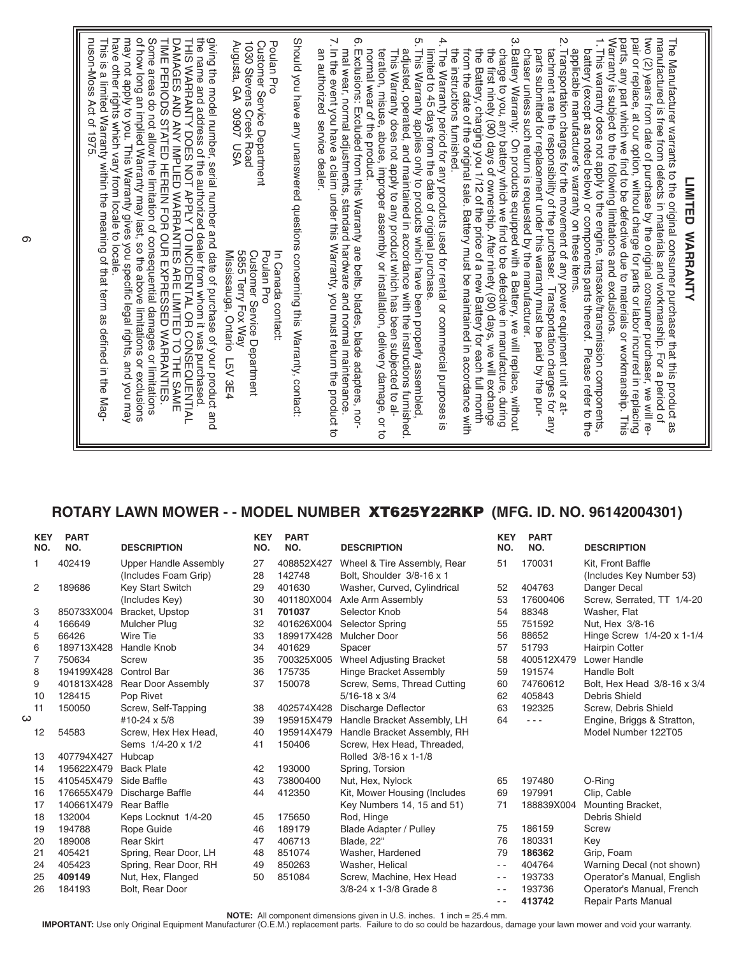## **ROTARY LAWN MOWER - - MODEL NUMBER XT625Y22RKP (MFG. ID. NO. 96142004301)**

| <b>KEY</b><br>NO. | <b>PART</b><br>NO. | <b>DESCRIPTION</b>           | <b>KEY</b><br>NO. | <b>PART</b><br>NO.      | <b>DESCRIPTION</b>             | <b>KEY</b><br>NO. | <b>PART</b><br>NO. | <b>DESCRIPTION</b>          |  |
|-------------------|--------------------|------------------------------|-------------------|-------------------------|--------------------------------|-------------------|--------------------|-----------------------------|--|
| 1                 | 402419             | <b>Upper Handle Assembly</b> | 27                | 408852X427              | Wheel & Tire Assembly, Rear    | 51                | 170031             | Kit, Front Baffle           |  |
|                   |                    | (Includes Foam Grip)         | 28                | 142748                  | Bolt, Shoulder 3/8-16 x 1      |                   |                    | (Includes Key Number 53)    |  |
| 2                 | 189686             | <b>Key Start Switch</b>      | 29                | 401630                  | Washer, Curved, Cylindrical    | 52                | 404763             | Danger Decal                |  |
|                   |                    | (Includes Key)               | 30                | 401180X004              | Axle Arm Assembly              | 53                | 17600406           | Screw, Serrated, TT 1/4-20  |  |
| 3                 | 850733X004         | Bracket, Upstop              | 31                | 701037<br>Selector Knob |                                | 54                | 88348              | Washer, Flat                |  |
| 4                 | 166649             | <b>Mulcher Plug</b>          | 32                | 401626X004              | Selector Spring                | 55                | 751592             | Nut, Hex 3/8-16             |  |
| 5                 | 66426              | Wire Tie                     | 33                | 189917X428              | <b>Mulcher Door</b>            | 56                | 88652              | Hinge Screw 1/4-20 x 1-1/4  |  |
| 6                 | 189713X428         | Handle Knob                  | 34                | 401629                  | Spacer                         | 57                | 51793              | Hairpin Cotter              |  |
| 7                 | 750634             | Screw                        | 35                | 700325X005              | <b>Wheel Adjusting Bracket</b> | 58                | 400512X479         | Lower Handle                |  |
| 8                 | 194199X428         | <b>Control Bar</b>           | 36                | 175735                  | Hinge Bracket Assembly         | 59                | 191574             | <b>Handle Bolt</b>          |  |
| 9                 | 401813X428         | <b>Rear Door Assembly</b>    | 37                | 150078                  | Screw, Sems, Thread Cutting    | 60                | 74760612           | Bolt, Hex Head 3/8-16 x 3/4 |  |
| 10                | 128415             | Pop Rivet                    |                   |                         | $5/16 - 18 \times 3/4$         | 62                | 405843             | Debris Shield               |  |
| 11                | 150050             | Screw, Self-Tapping          | 38                | 402574X428              | Discharge Deflector            | 63                | 192325             | Screw, Debris Shield        |  |
| ω                 |                    | #10-24 x 5/8                 | 39                | 195915X479              | Handle Bracket Assembly, LH    | 64                | $ -$               | Engine, Briggs & Stratton,  |  |
| 12                | 54583              | Screw, Hex Hex Head,         | 40                | 195914X479              | Handle Bracket Assembly, RH    |                   |                    | Model Number 122T05         |  |
|                   |                    | Sems 1/4-20 x 1/2            | 41                | 150406                  | Screw, Hex Head, Threaded,     |                   |                    |                             |  |
| 13                | 407794X427         | Hubcap                       |                   |                         | Rolled 3/8-16 x 1-1/8          |                   |                    |                             |  |
| 14                | 195622X479         | <b>Back Plate</b>            | 42                | 193000                  | Spring, Torsion                |                   |                    |                             |  |
| 15                | 410545X479         | Side Baffle                  | 43                | 73800400                | Nut, Hex, Nylock               | 65                | 197480             | O-Ring                      |  |
| 16                | 176655X479         | Discharge Baffle             | 44                | 412350                  | Kit, Mower Housing (Includes   | 69                | 197991             | Clip, Cable                 |  |
| 17                | 140661X479         | <b>Rear Baffle</b>           |                   |                         | Key Numbers 14, 15 and 51)     | 71                | 188839X004         | Mounting Bracket,           |  |
| 18                | 132004             | Keps Locknut 1/4-20          | 45                | 175650                  | Rod, Hinge                     |                   |                    | Debris Shield               |  |
| 19                | 194788             | Rope Guide                   | 46                | 189179                  | <b>Blade Adapter / Pulley</b>  | 75                | 186159             | Screw                       |  |
| 20                | 189008             | <b>Rear Skirt</b>            | 47                | 406713                  | Blade, 22"                     | 76                | 180331             | Key                         |  |
| 21                | 405421             | Spring, Rear Door, LH        | 48                | 851074                  | Washer, Hardened               | 79                | 186362             | Grip, Foam                  |  |
| 24                | 405423             | Spring, Rear Door, RH        | 49                | 850263                  | Washer, Helical                | $ -$              | 404764             | Warning Decal (not shown)   |  |
| 25                | 409149             | Nut, Hex, Flanged            | 50                | 851084                  | Screw, Machine, Hex Head       | $\sim$ $\sim$     | 193733             | Operator's Manual, English  |  |
| 26                | 184193             | Bolt, Rear Door              |                   |                         | 3/8-24 x 1-3/8 Grade 8         | $ -$              | 193736             | Operator's Manual, French   |  |
|                   |                    |                              |                   |                         |                                | $ -$              | 413742             | <b>Repair Parts Manual</b>  |  |

**NOTE:** All component dimensions given in U.S. inches. 1 inch = 25.4 mm.

**IMPORTANT:** Use only Original Equipment Manufacturer (O.E.M.) replacement parts. Failure to do so could be hazardous, damage your lawn mower and void your warranty.